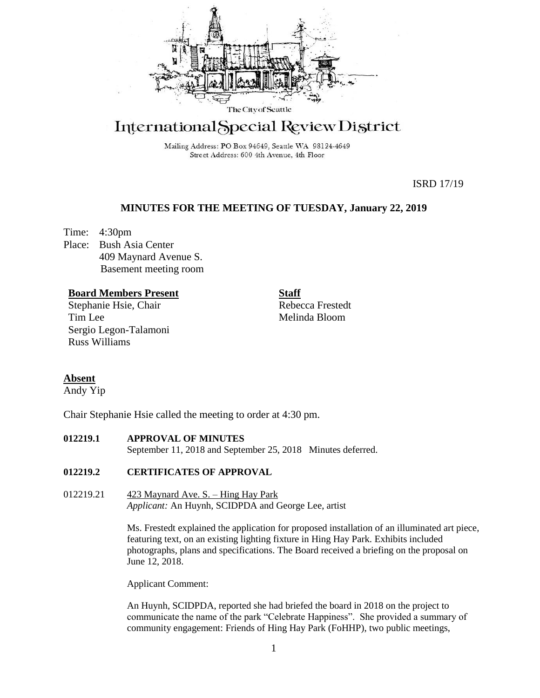

# International Special Review District

Mailing Address: PO Box 94649, Seattle WA 98124-4649 Street Address: 600 4th Avenue, 4th Floor

ISRD 17/19

# **MINUTES FOR THE MEETING OF TUESDAY, January 22, 2019**

Time: 4:30pm Place: Bush Asia Center 409 Maynard Avenue S. Basement meeting room

## **Board Members Present**

Stephanie Hsie, Chair Tim Lee Sergio Legon-Talamoni Russ Williams

**Staff** Rebecca Frestedt Melinda Bloom

# **Absent**

Andy Yip

Chair Stephanie Hsie called the meeting to order at 4:30 pm.

## **012219.1 APPROVAL OF MINUTES**

September 11, 2018 and September 25, 2018 Minutes deferred.

## **012219.2 CERTIFICATES OF APPROVAL**

012219.21 423 Maynard Ave. S. – Hing Hay Park *Applicant:* An Huynh, SCIDPDA and George Lee, artist

> Ms. Frestedt explained the application for proposed installation of an illuminated art piece, featuring text, on an existing lighting fixture in Hing Hay Park. Exhibits included photographs, plans and specifications. The Board received a briefing on the proposal on June 12, 2018.

Applicant Comment:

An Huynh, SCIDPDA, reported she had briefed the board in 2018 on the project to communicate the name of the park "Celebrate Happiness". She provided a summary of community engagement: Friends of Hing Hay Park (FoHHP), two public meetings,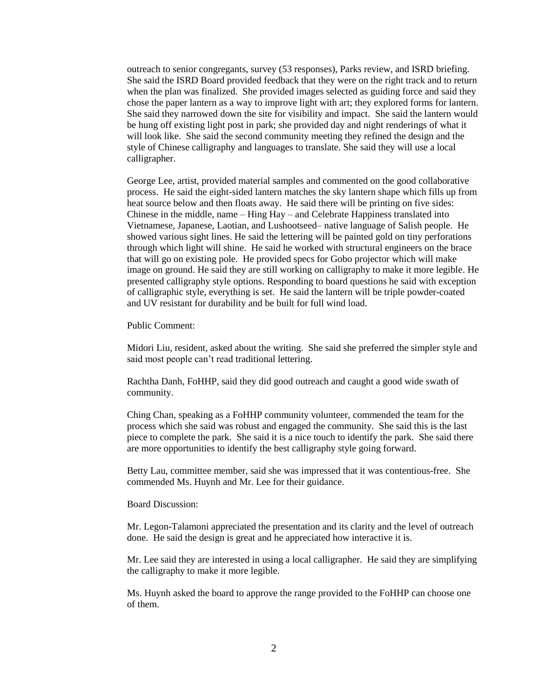outreach to senior congregants, survey (53 responses), Parks review, and ISRD briefing. She said the ISRD Board provided feedback that they were on the right track and to return when the plan was finalized. She provided images selected as guiding force and said they chose the paper lantern as a way to improve light with art; they explored forms for lantern. She said they narrowed down the site for visibility and impact. She said the lantern would be hung off existing light post in park; she provided day and night renderings of what it will look like. She said the second community meeting they refined the design and the style of Chinese calligraphy and languages to translate. She said they will use a local calligrapher.

George Lee, artist, provided material samples and commented on the good collaborative process. He said the eight-sided lantern matches the sky lantern shape which fills up from heat source below and then floats away. He said there will be printing on five sides: Chinese in the middle, name – Hing Hay – and Celebrate Happiness translated into Vietnamese, Japanese, Laotian, and Lushootseed– native language of Salish people. He showed various sight lines. He said the lettering will be painted gold on tiny perforations through which light will shine. He said he worked with structural engineers on the brace that will go on existing pole. He provided specs for Gobo projector which will make image on ground. He said they are still working on calligraphy to make it more legible. He presented calligraphy style options. Responding to board questions he said with exception of calligraphic style, everything is set. He said the lantern will be triple powder-coated and UV resistant for durability and be built for full wind load.

Public Comment:

Midori Liu, resident, asked about the writing. She said she preferred the simpler style and said most people can't read traditional lettering.

Rachtha Danh, FoHHP, said they did good outreach and caught a good wide swath of community.

Ching Chan, speaking as a FoHHP community volunteer, commended the team for the process which she said was robust and engaged the community. She said this is the last piece to complete the park. She said it is a nice touch to identify the park. She said there are more opportunities to identify the best calligraphy style going forward.

Betty Lau, committee member, said she was impressed that it was contentious-free. She commended Ms. Huynh and Mr. Lee for their guidance.

Board Discussion:

Mr. Legon-Talamoni appreciated the presentation and its clarity and the level of outreach done. He said the design is great and he appreciated how interactive it is.

Mr. Lee said they are interested in using a local calligrapher. He said they are simplifying the calligraphy to make it more legible.

Ms. Huynh asked the board to approve the range provided to the FoHHP can choose one of them.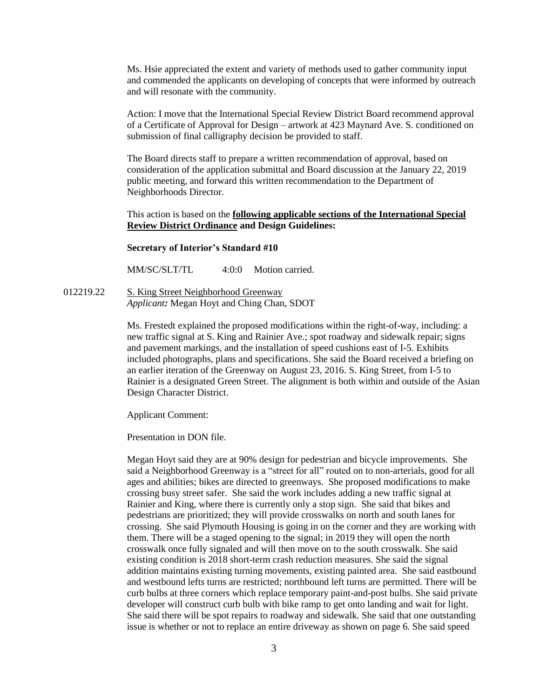Ms. Hsie appreciated the extent and variety of methods used to gather community input and commended the applicants on developing of concepts that were informed by outreach and will resonate with the community.

Action: I move that the International Special Review District Board recommend approval of a Certificate of Approval for Design – artwork at 423 Maynard Ave. S. conditioned on submission of final calligraphy decision be provided to staff.

The Board directs staff to prepare a written recommendation of approval, based on consideration of the application submittal and Board discussion at the January 22, 2019 public meeting, and forward this written recommendation to the Department of Neighborhoods Director.

This action is based on the **following applicable sections of the International Special Review District Ordinance and Design Guidelines:** 

#### **Secretary of Interior's Standard #10**

MM/SC/SLT/TL 4:0:0 Motion carried.

012219.22 S. King Street Neighborhood Greenway *Applicant:* Megan Hoyt and Ching Chan, SDOT

> Ms. Frestedt explained the proposed modifications within the right-of-way, including: a new traffic signal at S. King and Rainier Ave.; spot roadway and sidewalk repair; signs and pavement markings, and the installation of speed cushions east of I-5. Exhibits included photographs, plans and specifications. She said the Board received a briefing on an earlier iteration of the Greenway on August 23, 2016. S. King Street, from I-5 to Rainier is a designated Green Street. The alignment is both within and outside of the Asian Design Character District.

Applicant Comment:

Presentation in DON file.

Megan Hoyt said they are at 90% design for pedestrian and bicycle improvements. She said a Neighborhood Greenway is a "street for all" routed on to non-arterials, good for all ages and abilities; bikes are directed to greenways. She proposed modifications to make crossing busy street safer. She said the work includes adding a new traffic signal at Rainier and King, where there is currently only a stop sign. She said that bikes and pedestrians are prioritized; they will provide crosswalks on north and south lanes for crossing. She said Plymouth Housing is going in on the corner and they are working with them. There will be a staged opening to the signal; in 2019 they will open the north crosswalk once fully signaled and will then move on to the south crosswalk. She said existing condition is 2018 short-term crash reduction measures. She said the signal addition maintains existing turning movements, existing painted area. She said eastbound and westbound lefts turns are restricted; northbound left turns are permitted. There will be curb bulbs at three corners which replace temporary paint-and-post bulbs. She said private developer will construct curb bulb with bike ramp to get onto landing and wait for light. She said there will be spot repairs to roadway and sidewalk. She said that one outstanding issue is whether or not to replace an entire driveway as shown on page 6. She said speed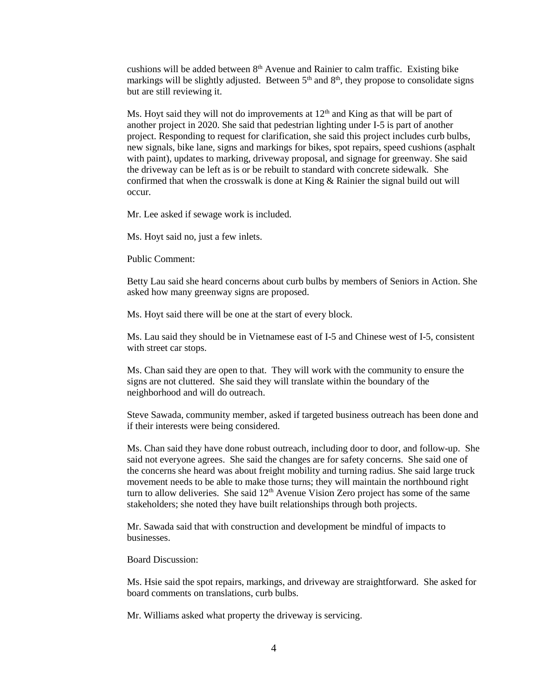cushions will be added between 8th Avenue and Rainier to calm traffic. Existing bike markings will be slightly adjusted. Between  $5<sup>th</sup>$  and  $8<sup>th</sup>$ , they propose to consolidate signs but are still reviewing it.

Ms. Hoyt said they will not do improvements at  $12<sup>th</sup>$  and King as that will be part of another project in 2020. She said that pedestrian lighting under I-5 is part of another project. Responding to request for clarification, she said this project includes curb bulbs, new signals, bike lane, signs and markings for bikes, spot repairs, speed cushions (asphalt with paint), updates to marking, driveway proposal, and signage for greenway. She said the driveway can be left as is or be rebuilt to standard with concrete sidewalk. She confirmed that when the crosswalk is done at King & Rainier the signal build out will occur.

Mr. Lee asked if sewage work is included.

Ms. Hoyt said no, just a few inlets.

Public Comment:

Betty Lau said she heard concerns about curb bulbs by members of Seniors in Action. She asked how many greenway signs are proposed.

Ms. Hoyt said there will be one at the start of every block.

Ms. Lau said they should be in Vietnamese east of I-5 and Chinese west of I-5, consistent with street car stops.

Ms. Chan said they are open to that. They will work with the community to ensure the signs are not cluttered. She said they will translate within the boundary of the neighborhood and will do outreach.

Steve Sawada, community member, asked if targeted business outreach has been done and if their interests were being considered.

Ms. Chan said they have done robust outreach, including door to door, and follow-up. She said not everyone agrees. She said the changes are for safety concerns. She said one of the concerns she heard was about freight mobility and turning radius. She said large truck movement needs to be able to make those turns; they will maintain the northbound right turn to allow deliveries. She said  $12<sup>th</sup>$  Avenue Vision Zero project has some of the same stakeholders; she noted they have built relationships through both projects.

Mr. Sawada said that with construction and development be mindful of impacts to businesses.

Board Discussion:

Ms. Hsie said the spot repairs, markings, and driveway are straightforward. She asked for board comments on translations, curb bulbs.

Mr. Williams asked what property the driveway is servicing.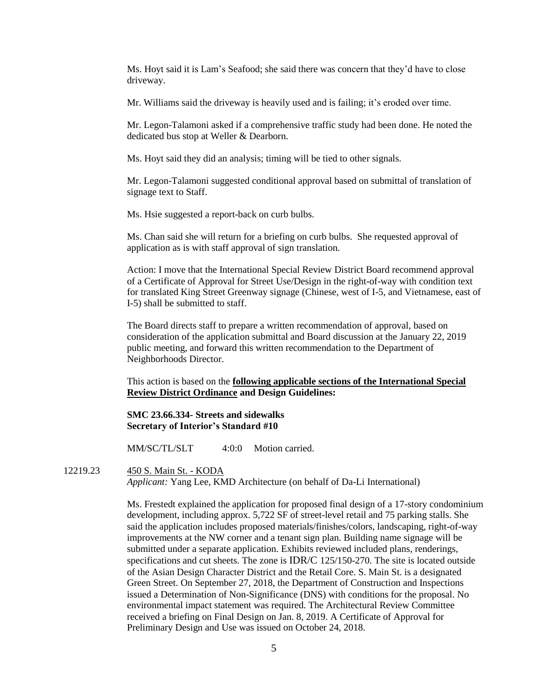Ms. Hoyt said it is Lam's Seafood; she said there was concern that they'd have to close driveway.

Mr. Williams said the driveway is heavily used and is failing; it's eroded over time.

Mr. Legon-Talamoni asked if a comprehensive traffic study had been done. He noted the dedicated bus stop at Weller & Dearborn.

Ms. Hoyt said they did an analysis; timing will be tied to other signals.

Mr. Legon-Talamoni suggested conditional approval based on submittal of translation of signage text to Staff.

Ms. Hsie suggested a report-back on curb bulbs.

Ms. Chan said she will return for a briefing on curb bulbs. She requested approval of application as is with staff approval of sign translation.

Action: I move that the International Special Review District Board recommend approval of a Certificate of Approval for Street Use/Design in the right-of-way with condition text for translated King Street Greenway signage (Chinese, west of I-5, and Vietnamese, east of I-5) shall be submitted to staff.

The Board directs staff to prepare a written recommendation of approval, based on consideration of the application submittal and Board discussion at the January 22, 2019 public meeting, and forward this written recommendation to the Department of Neighborhoods Director.

This action is based on the **following applicable sections of the International Special Review District Ordinance and Design Guidelines:** 

### **SMC 23.66.334- Streets and sidewalks Secretary of Interior's Standard #10**

MM/SC/TL/SLT 4:0:0 Motion carried.

12219.23 450 S. Main St. - KODA *Applicant:* Yang Lee, KMD Architecture (on behalf of Da-Li International)

> Ms. Frestedt explained the application for proposed final design of a 17-story condominium development, including approx. 5,722 SF of street-level retail and 75 parking stalls. She said the application includes proposed materials/finishes/colors, landscaping, right-of-way improvements at the NW corner and a tenant sign plan. Building name signage will be submitted under a separate application. Exhibits reviewed included plans, renderings, specifications and cut sheets. The zone is IDR/C 125/150-270. The site is located outside of the Asian Design Character District and the Retail Core. S. Main St. is a designated Green Street. On September 27, 2018, the Department of Construction and Inspections issued a Determination of Non-Significance (DNS) with conditions for the proposal. No environmental impact statement was required. The Architectural Review Committee received a briefing on Final Design on Jan. 8, 2019. A Certificate of Approval for Preliminary Design and Use was issued on October 24, 2018.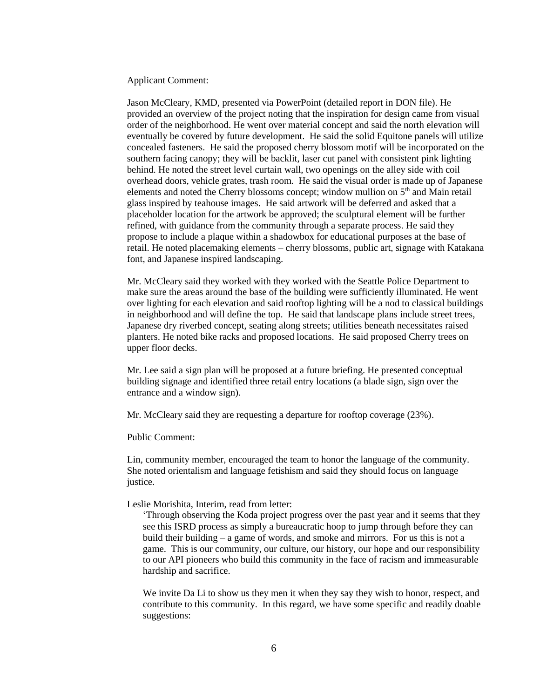Applicant Comment:

Jason McCleary, KMD, presented via PowerPoint (detailed report in DON file). He provided an overview of the project noting that the inspiration for design came from visual order of the neighborhood. He went over material concept and said the north elevation will eventually be covered by future development. He said the solid Equitone panels will utilize concealed fasteners. He said the proposed cherry blossom motif will be incorporated on the southern facing canopy; they will be backlit, laser cut panel with consistent pink lighting behind. He noted the street level curtain wall, two openings on the alley side with coil overhead doors, vehicle grates, trash room. He said the visual order is made up of Japanese elements and noted the Cherry blossoms concept; window mullion on 5<sup>th</sup> and Main retail glass inspired by teahouse images. He said artwork will be deferred and asked that a placeholder location for the artwork be approved; the sculptural element will be further refined, with guidance from the community through a separate process. He said they propose to include a plaque within a shadowbox for educational purposes at the base of retail. He noted placemaking elements – cherry blossoms, public art, signage with Katakana font, and Japanese inspired landscaping.

Mr. McCleary said they worked with they worked with the Seattle Police Department to make sure the areas around the base of the building were sufficiently illuminated. He went over lighting for each elevation and said rooftop lighting will be a nod to classical buildings in neighborhood and will define the top. He said that landscape plans include street trees, Japanese dry riverbed concept, seating along streets; utilities beneath necessitates raised planters. He noted bike racks and proposed locations. He said proposed Cherry trees on upper floor decks.

Mr. Lee said a sign plan will be proposed at a future briefing. He presented conceptual building signage and identified three retail entry locations (a blade sign, sign over the entrance and a window sign).

Mr. McCleary said they are requesting a departure for rooftop coverage (23%).

Public Comment:

Lin, community member, encouraged the team to honor the language of the community. She noted orientalism and language fetishism and said they should focus on language justice.

#### Leslie Morishita, Interim, read from letter:

'Through observing the Koda project progress over the past year and it seems that they see this ISRD process as simply a bureaucratic hoop to jump through before they can build their building – a game of words, and smoke and mirrors. For us this is not a game. This is our community, our culture, our history, our hope and our responsibility to our API pioneers who build this community in the face of racism and immeasurable hardship and sacrifice.

We invite Da Li to show us they men it when they say they wish to honor, respect, and contribute to this community. In this regard, we have some specific and readily doable suggestions: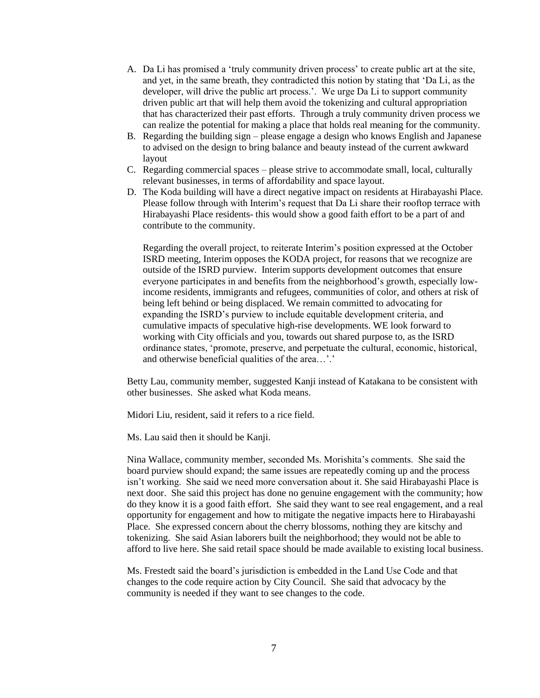- A. Da Li has promised a 'truly community driven process' to create public art at the site, and yet, in the same breath, they contradicted this notion by stating that 'Da Li, as the developer, will drive the public art process.'. We urge Da Li to support community driven public art that will help them avoid the tokenizing and cultural appropriation that has characterized their past efforts. Through a truly community driven process we can realize the potential for making a place that holds real meaning for the community.
- B. Regarding the building sign please engage a design who knows English and Japanese to advised on the design to bring balance and beauty instead of the current awkward layout
- C. Regarding commercial spaces please strive to accommodate small, local, culturally relevant businesses, in terms of affordability and space layout.
- D. The Koda building will have a direct negative impact on residents at Hirabayashi Place. Please follow through with Interim's request that Da Li share their rooftop terrace with Hirabayashi Place residents- this would show a good faith effort to be a part of and contribute to the community.

Regarding the overall project, to reiterate Interim's position expressed at the October ISRD meeting, Interim opposes the KODA project, for reasons that we recognize are outside of the ISRD purview. Interim supports development outcomes that ensure everyone participates in and benefits from the neighborhood's growth, especially lowincome residents, immigrants and refugees, communities of color, and others at risk of being left behind or being displaced. We remain committed to advocating for expanding the ISRD's purview to include equitable development criteria, and cumulative impacts of speculative high-rise developments. WE look forward to working with City officials and you, towards out shared purpose to, as the ISRD ordinance states, 'promote, preserve, and perpetuate the cultural, economic, historical, and otherwise beneficial qualities of the area…'.'

Betty Lau, community member, suggested Kanji instead of Katakana to be consistent with other businesses. She asked what Koda means.

Midori Liu, resident, said it refers to a rice field.

Ms. Lau said then it should be Kanji.

Nina Wallace, community member, seconded Ms. Morishita's comments. She said the board purview should expand; the same issues are repeatedly coming up and the process isn't working. She said we need more conversation about it. She said Hirabayashi Place is next door. She said this project has done no genuine engagement with the community; how do they know it is a good faith effort. She said they want to see real engagement, and a real opportunity for engagement and how to mitigate the negative impacts here to Hirabayashi Place. She expressed concern about the cherry blossoms, nothing they are kitschy and tokenizing. She said Asian laborers built the neighborhood; they would not be able to afford to live here. She said retail space should be made available to existing local business.

Ms. Frestedt said the board's jurisdiction is embedded in the Land Use Code and that changes to the code require action by City Council. She said that advocacy by the community is needed if they want to see changes to the code.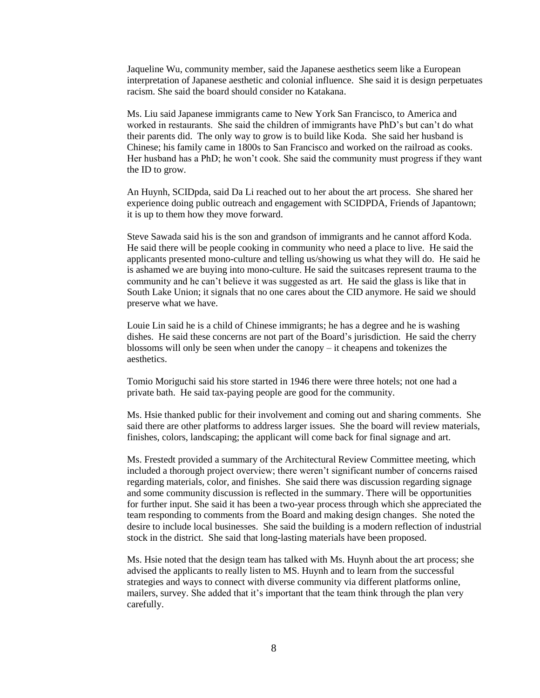Jaqueline Wu, community member, said the Japanese aesthetics seem like a European interpretation of Japanese aesthetic and colonial influence. She said it is design perpetuates racism. She said the board should consider no Katakana.

Ms. Liu said Japanese immigrants came to New York San Francisco, to America and worked in restaurants. She said the children of immigrants have PhD's but can't do what their parents did. The only way to grow is to build like Koda. She said her husband is Chinese; his family came in 1800s to San Francisco and worked on the railroad as cooks. Her husband has a PhD; he won't cook. She said the community must progress if they want the ID to grow.

An Huynh, SCIDpda, said Da Li reached out to her about the art process. She shared her experience doing public outreach and engagement with SCIDPDA, Friends of Japantown; it is up to them how they move forward.

Steve Sawada said his is the son and grandson of immigrants and he cannot afford Koda. He said there will be people cooking in community who need a place to live. He said the applicants presented mono-culture and telling us/showing us what they will do. He said he is ashamed we are buying into mono-culture. He said the suitcases represent trauma to the community and he can't believe it was suggested as art. He said the glass is like that in South Lake Union; it signals that no one cares about the CID anymore. He said we should preserve what we have.

Louie Lin said he is a child of Chinese immigrants; he has a degree and he is washing dishes. He said these concerns are not part of the Board's jurisdiction. He said the cherry blossoms will only be seen when under the canopy – it cheapens and tokenizes the aesthetics.

Tomio Moriguchi said his store started in 1946 there were three hotels; not one had a private bath. He said tax-paying people are good for the community.

Ms. Hsie thanked public for their involvement and coming out and sharing comments. She said there are other platforms to address larger issues. She the board will review materials, finishes, colors, landscaping; the applicant will come back for final signage and art.

Ms. Frestedt provided a summary of the Architectural Review Committee meeting, which included a thorough project overview; there weren't significant number of concerns raised regarding materials, color, and finishes. She said there was discussion regarding signage and some community discussion is reflected in the summary. There will be opportunities for further input. She said it has been a two-year process through which she appreciated the team responding to comments from the Board and making design changes. She noted the desire to include local businesses. She said the building is a modern reflection of industrial stock in the district. She said that long-lasting materials have been proposed.

Ms. Hsie noted that the design team has talked with Ms. Huynh about the art process; she advised the applicants to really listen to MS. Huynh and to learn from the successful strategies and ways to connect with diverse community via different platforms online, mailers, survey. She added that it's important that the team think through the plan very carefully.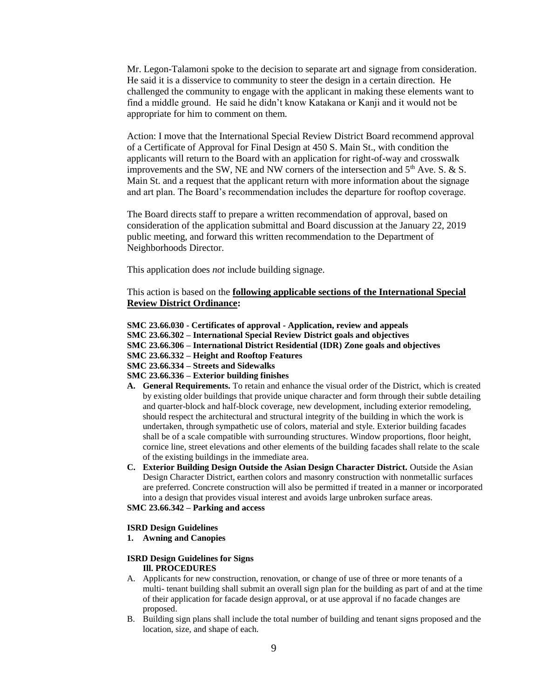Mr. Legon-Talamoni spoke to the decision to separate art and signage from consideration. He said it is a disservice to community to steer the design in a certain direction. He challenged the community to engage with the applicant in making these elements want to find a middle ground. He said he didn't know Katakana or Kanji and it would not be appropriate for him to comment on them.

Action: I move that the International Special Review District Board recommend approval of a Certificate of Approval for Final Design at 450 S. Main St., with condition the applicants will return to the Board with an application for right-of-way and crosswalk improvements and the SW, NE and NW corners of the intersection and  $5<sup>th</sup>$  Ave. S. & S. Main St. and a request that the applicant return with more information about the signage and art plan. The Board's recommendation includes the departure for rooftop coverage.

The Board directs staff to prepare a written recommendation of approval, based on consideration of the application submittal and Board discussion at the January 22, 2019 public meeting, and forward this written recommendation to the Department of Neighborhoods Director.

This application does *not* include building signage.

This action is based on the **following applicable sections of the International Special Review District Ordinance:** 

- **SMC 23.66.030 - Certificates of approval - Application, review and appeals**
- **SMC 23.66.302 – International Special Review District goals and objectives**
- **SMC 23.66.306 – International District Residential (IDR) Zone goals and objectives**
- **SMC 23.66.332 – Height and Rooftop Features**
- **SMC 23.66.334 – Streets and Sidewalks**
- **SMC 23.66.336 – Exterior building finishes**
- **A. General Requirements.** To retain and enhance the visual order of the District, which is created by existing older buildings that provide unique character and form through their subtle detailing and quarter-block and half-block coverage, new development, including exterior remodeling, should respect the architectural and structural integrity of the building in which the work is undertaken, through sympathetic use of colors, material and style. Exterior building facades shall be of a scale compatible with surrounding structures. Window proportions, floor height, cornice line, street elevations and other elements of the building facades shall relate to the scale of the existing buildings in the immediate area.
- **C. Exterior Building Design Outside the Asian Design Character District.** Outside the Asian Design Character District, earthen colors and masonry construction with nonmetallic surfaces are preferred. Concrete construction will also be permitted if treated in a manner or incorporated into a design that provides visual interest and avoids large unbroken surface areas.
- **SMC 23.66.342 – Parking and access**

#### **ISRD Design Guidelines**

**1. Awning and Canopies**

#### **ISRD Design Guidelines for Signs Ill. PROCEDURES**

- A. Applicants for new construction, renovation, or change of use of three or more tenants of a multi- tenant building shall submit an overall sign plan for the building as part of and at the time of their application for facade design approval, or at use approval if no facade changes are proposed.
- B. Building sign plans shall include the total number of building and tenant signs proposed and the location, size, and shape of each.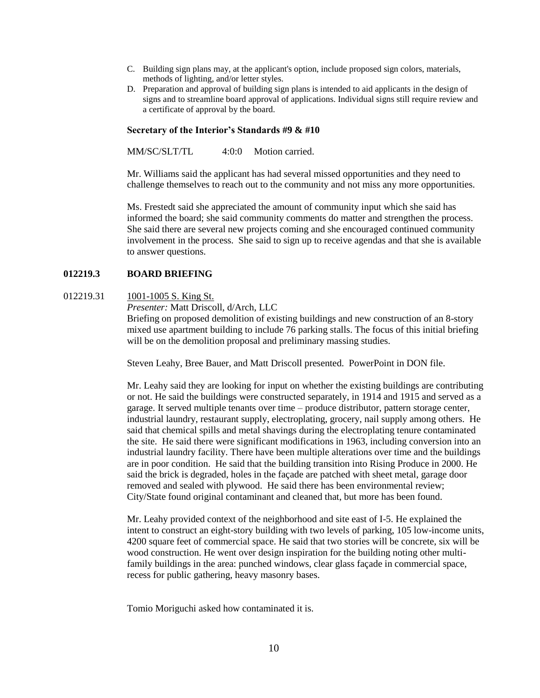- C. Building sign plans may, at the applicant's option, include proposed sign colors, materials, methods of lighting, and/or letter styles.
- D. Preparation and approval of building sign plans is intended to aid applicants in the design of signs and to streamline board approval of applications. Individual signs still require review and a certificate of approval by the board.

#### **Secretary of the Interior's Standards #9 & #10**

MM/SC/SLT/TL 4:0:0 Motion carried.

Mr. Williams said the applicant has had several missed opportunities and they need to challenge themselves to reach out to the community and not miss any more opportunities.

Ms. Frestedt said she appreciated the amount of community input which she said has informed the board; she said community comments do matter and strengthen the process. She said there are several new projects coming and she encouraged continued community involvement in the process. She said to sign up to receive agendas and that she is available to answer questions.

## **012219.3 BOARD BRIEFING**

012219.31 1001-1005 S. King St.

*Presenter:* Matt Driscoll, d/Arch, LLC

Briefing on proposed demolition of existing buildings and new construction of an 8-story mixed use apartment building to include 76 parking stalls. The focus of this initial briefing will be on the demolition proposal and preliminary massing studies.

Steven Leahy, Bree Bauer, and Matt Driscoll presented. PowerPoint in DON file.

Mr. Leahy said they are looking for input on whether the existing buildings are contributing or not. He said the buildings were constructed separately, in 1914 and 1915 and served as a garage. It served multiple tenants over time – produce distributor, pattern storage center, industrial laundry, restaurant supply, electroplating, grocery, nail supply among others. He said that chemical spills and metal shavings during the electroplating tenure contaminated the site. He said there were significant modifications in 1963, including conversion into an industrial laundry facility. There have been multiple alterations over time and the buildings are in poor condition. He said that the building transition into Rising Produce in 2000. He said the brick is degraded, holes in the façade are patched with sheet metal, garage door removed and sealed with plywood. He said there has been environmental review; City/State found original contaminant and cleaned that, but more has been found.

Mr. Leahy provided context of the neighborhood and site east of I-5. He explained the intent to construct an eight-story building with two levels of parking, 105 low-income units, 4200 square feet of commercial space. He said that two stories will be concrete, six will be wood construction. He went over design inspiration for the building noting other multifamily buildings in the area: punched windows, clear glass façade in commercial space, recess for public gathering, heavy masonry bases.

Tomio Moriguchi asked how contaminated it is.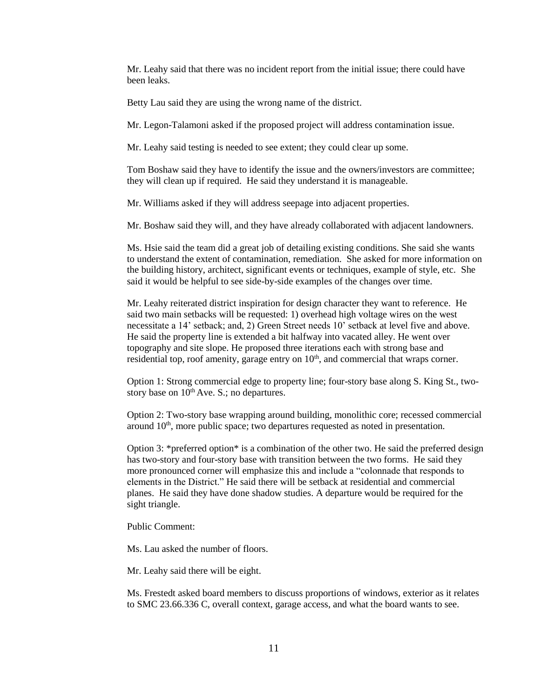Mr. Leahy said that there was no incident report from the initial issue; there could have been leaks.

Betty Lau said they are using the wrong name of the district.

Mr. Legon-Talamoni asked if the proposed project will address contamination issue.

Mr. Leahy said testing is needed to see extent; they could clear up some.

Tom Boshaw said they have to identify the issue and the owners/investors are committee; they will clean up if required. He said they understand it is manageable.

Mr. Williams asked if they will address seepage into adjacent properties.

Mr. Boshaw said they will, and they have already collaborated with adjacent landowners.

Ms. Hsie said the team did a great job of detailing existing conditions. She said she wants to understand the extent of contamination, remediation. She asked for more information on the building history, architect, significant events or techniques, example of style, etc. She said it would be helpful to see side-by-side examples of the changes over time.

Mr. Leahy reiterated district inspiration for design character they want to reference. He said two main setbacks will be requested: 1) overhead high voltage wires on the west necessitate a 14' setback; and, 2) Green Street needs 10' setback at level five and above. He said the property line is extended a bit halfway into vacated alley. He went over topography and site slope. He proposed three iterations each with strong base and residential top, roof amenity, garage entry on  $10<sup>th</sup>$ , and commercial that wraps corner.

Option 1: Strong commercial edge to property line; four-story base along S. King St., twostory base on  $10^{th}$  Ave. S.; no departures.

Option 2: Two-story base wrapping around building, monolithic core; recessed commercial around  $10<sup>th</sup>$ , more public space; two departures requested as noted in presentation.

Option 3: \*preferred option\* is a combination of the other two. He said the preferred design has two-story and four-story base with transition between the two forms. He said they more pronounced corner will emphasize this and include a "colonnade that responds to elements in the District." He said there will be setback at residential and commercial planes. He said they have done shadow studies. A departure would be required for the sight triangle.

Public Comment:

Ms. Lau asked the number of floors.

Mr. Leahy said there will be eight.

Ms. Frestedt asked board members to discuss proportions of windows, exterior as it relates to SMC 23.66.336 C, overall context, garage access, and what the board wants to see.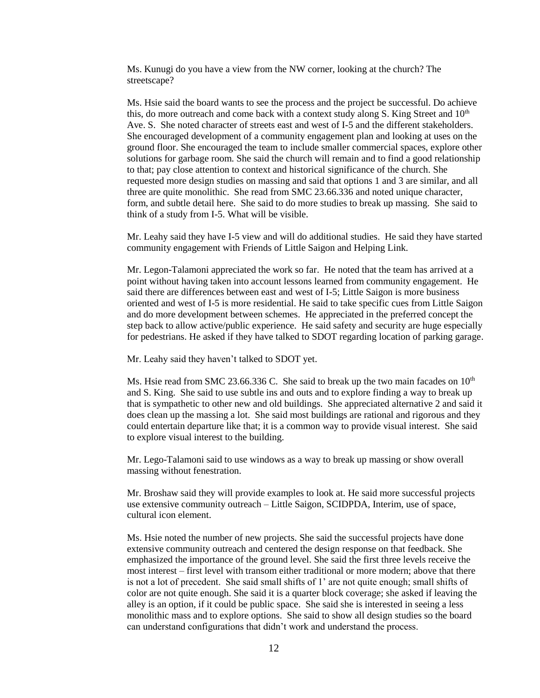Ms. Kunugi do you have a view from the NW corner, looking at the church? The streetscape?

Ms. Hsie said the board wants to see the process and the project be successful. Do achieve this, do more outreach and come back with a context study along S. King Street and  $10<sup>th</sup>$ Ave. S. She noted character of streets east and west of I-5 and the different stakeholders. She encouraged development of a community engagement plan and looking at uses on the ground floor. She encouraged the team to include smaller commercial spaces, explore other solutions for garbage room. She said the church will remain and to find a good relationship to that; pay close attention to context and historical significance of the church. She requested more design studies on massing and said that options 1 and 3 are similar, and all three are quite monolithic. She read from SMC 23.66.336 and noted unique character, form, and subtle detail here. She said to do more studies to break up massing. She said to think of a study from I-5. What will be visible.

Mr. Leahy said they have I-5 view and will do additional studies. He said they have started community engagement with Friends of Little Saigon and Helping Link.

Mr. Legon-Talamoni appreciated the work so far. He noted that the team has arrived at a point without having taken into account lessons learned from community engagement. He said there are differences between east and west of I-5; Little Saigon is more business oriented and west of I-5 is more residential. He said to take specific cues from Little Saigon and do more development between schemes. He appreciated in the preferred concept the step back to allow active/public experience. He said safety and security are huge especially for pedestrians. He asked if they have talked to SDOT regarding location of parking garage.

Mr. Leahy said they haven't talked to SDOT yet.

Ms. Hsie read from SMC 23.66.336 C. She said to break up the two main facades on  $10<sup>th</sup>$ and S. King. She said to use subtle ins and outs and to explore finding a way to break up that is sympathetic to other new and old buildings. She appreciated alternative 2 and said it does clean up the massing a lot. She said most buildings are rational and rigorous and they could entertain departure like that; it is a common way to provide visual interest. She said to explore visual interest to the building.

Mr. Lego-Talamoni said to use windows as a way to break up massing or show overall massing without fenestration.

Mr. Broshaw said they will provide examples to look at. He said more successful projects use extensive community outreach – Little Saigon, SCIDPDA, Interim, use of space, cultural icon element.

Ms. Hsie noted the number of new projects. She said the successful projects have done extensive community outreach and centered the design response on that feedback. She emphasized the importance of the ground level. She said the first three levels receive the most interest – first level with transom either traditional or more modern; above that there is not a lot of precedent. She said small shifts of 1' are not quite enough; small shifts of color are not quite enough. She said it is a quarter block coverage; she asked if leaving the alley is an option, if it could be public space. She said she is interested in seeing a less monolithic mass and to explore options. She said to show all design studies so the board can understand configurations that didn't work and understand the process.